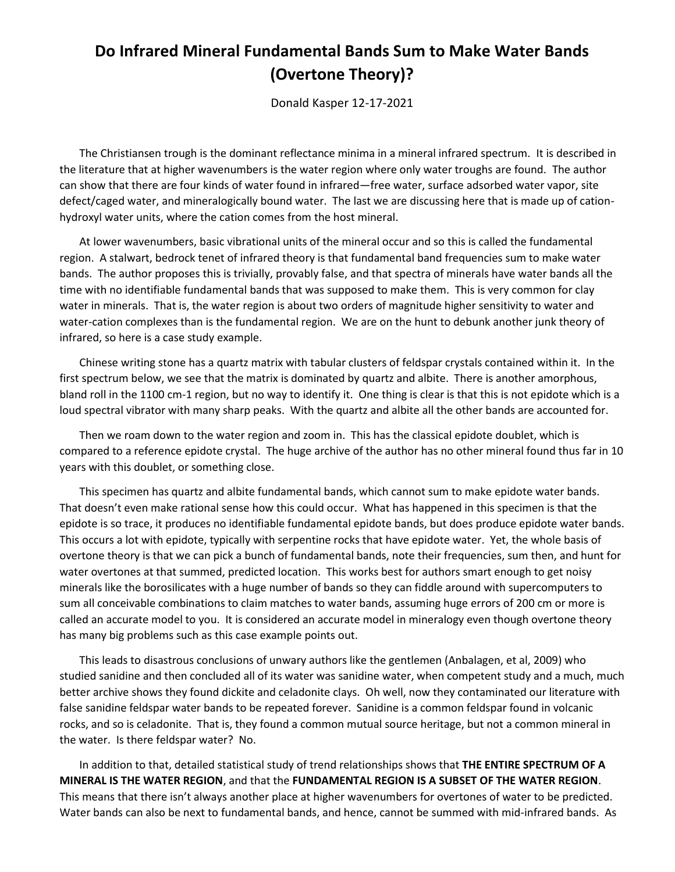## **Do Infrared Mineral Fundamental Bands Sum to Make Water Bands (Overtone Theory)?**

Donald Kasper 12-17-2021

The Christiansen trough is the dominant reflectance minima in a mineral infrared spectrum. It is described in the literature that at higher wavenumbers is the water region where only water troughs are found. The author can show that there are four kinds of water found in infrared—free water, surface adsorbed water vapor, site defect/caged water, and mineralogically bound water. The last we are discussing here that is made up of cationhydroxyl water units, where the cation comes from the host mineral.

At lower wavenumbers, basic vibrational units of the mineral occur and so this is called the fundamental region. A stalwart, bedrock tenet of infrared theory is that fundamental band frequencies sum to make water bands. The author proposes this is trivially, provably false, and that spectra of minerals have water bands all the time with no identifiable fundamental bands that was supposed to make them. This is very common for clay water in minerals. That is, the water region is about two orders of magnitude higher sensitivity to water and water-cation complexes than is the fundamental region. We are on the hunt to debunk another junk theory of infrared, so here is a case study example.

Chinese writing stone has a quartz matrix with tabular clusters of feldspar crystals contained within it. In the first spectrum below, we see that the matrix is dominated by quartz and albite. There is another amorphous, bland roll in the 1100 cm-1 region, but no way to identify it. One thing is clear is that this is not epidote which is a loud spectral vibrator with many sharp peaks. With the quartz and albite all the other bands are accounted for.

Then we roam down to the water region and zoom in. This has the classical epidote doublet, which is compared to a reference epidote crystal. The huge archive of the author has no other mineral found thus far in 10 years with this doublet, or something close.

This specimen has quartz and albite fundamental bands, which cannot sum to make epidote water bands. That doesn't even make rational sense how this could occur. What has happened in this specimen is that the epidote is so trace, it produces no identifiable fundamental epidote bands, but does produce epidote water bands. This occurs a lot with epidote, typically with serpentine rocks that have epidote water. Yet, the whole basis of overtone theory is that we can pick a bunch of fundamental bands, note their frequencies, sum then, and hunt for water overtones at that summed, predicted location. This works best for authors smart enough to get noisy minerals like the borosilicates with a huge number of bands so they can fiddle around with supercomputers to sum all conceivable combinations to claim matches to water bands, assuming huge errors of 200 cm or more is called an accurate model to you. It is considered an accurate model in mineralogy even though overtone theory has many big problems such as this case example points out.

This leads to disastrous conclusions of unwary authors like the gentlemen (Anbalagen, et al, 2009) who studied sanidine and then concluded all of its water was sanidine water, when competent study and a much, much better archive shows they found dickite and celadonite clays. Oh well, now they contaminated our literature with false sanidine feldspar water bands to be repeated forever. Sanidine is a common feldspar found in volcanic rocks, and so is celadonite. That is, they found a common mutual source heritage, but not a common mineral in the water. Is there feldspar water? No.

In addition to that, detailed statistical study of trend relationships shows that **THE ENTIRE SPECTRUM OF A MINERAL IS THE WATER REGION**, and that the **FUNDAMENTAL REGION IS A SUBSET OF THE WATER REGION**. This means that there isn't always another place at higher wavenumbers for overtones of water to be predicted. Water bands can also be next to fundamental bands, and hence, cannot be summed with mid-infrared bands. As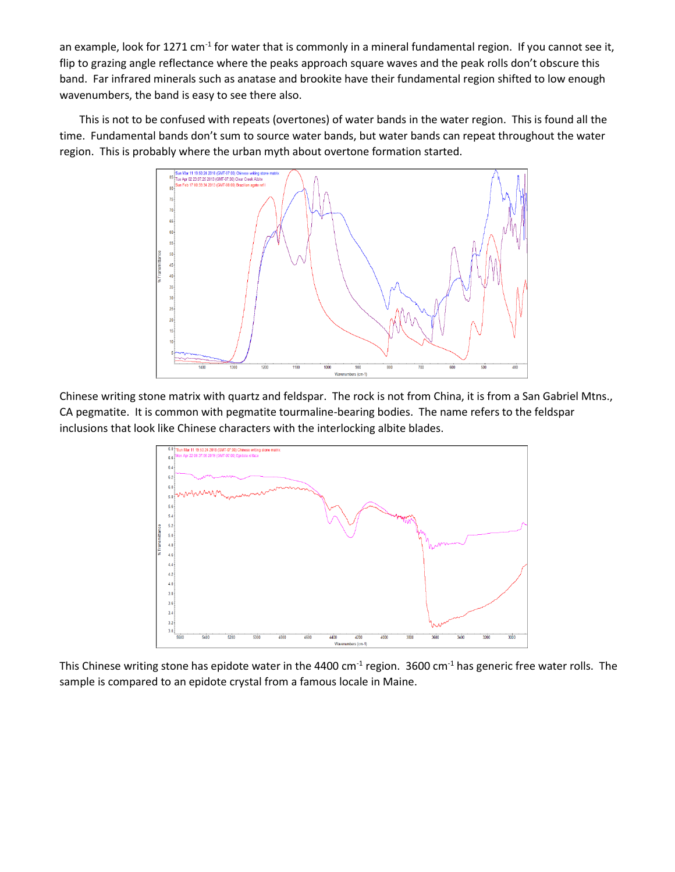an example, look for 1271 cm<sup>-1</sup> for water that is commonly in a mineral fundamental region. If you cannot see it, flip to grazing angle reflectance where the peaks approach square waves and the peak rolls don't obscure this band. Far infrared minerals such as anatase and brookite have their fundamental region shifted to low enough wavenumbers, the band is easy to see there also.

This is not to be confused with repeats (overtones) of water bands in the water region. This is found all the time. Fundamental bands don't sum to source water bands, but water bands can repeat throughout the water region. This is probably where the urban myth about overtone formation started.



Chinese writing stone matrix with quartz and feldspar. The rock is not from China, it is from a San Gabriel Mtns., CA pegmatite. It is common with pegmatite tourmaline-bearing bodies. The name refers to the feldspar inclusions that look like Chinese characters with the interlocking albite blades.



This Chinese writing stone has epidote water in the 4400 cm<sup>-1</sup> region. 3600 cm<sup>-1</sup> has generic free water rolls. The sample is compared to an epidote crystal from a famous locale in Maine.